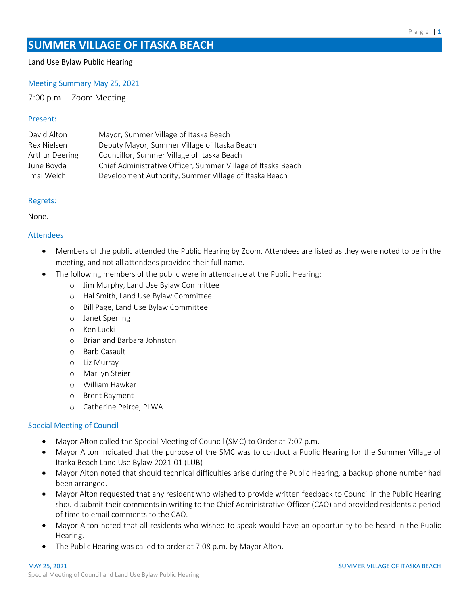# **SUMMER VILLAGE OF ITASKA BEACH**

### Land Use Bylaw Public Hearing

#### Meeting Summary May 25, 2021

7:00 p.m. – Zoom Meeting

#### Present:

| David Alton    | Mayor, Summer Village of Itaska Beach                        |
|----------------|--------------------------------------------------------------|
| Rex Nielsen    | Deputy Mayor, Summer Village of Itaska Beach                 |
| Arthur Deering | Councillor, Summer Village of Itaska Beach                   |
| June Boyda     | Chief Administrative Officer, Summer Village of Itaska Beach |
| Imai Welch     | Development Authority, Summer Village of Itaska Beach        |

#### Regrets:

None.

### Attendees

- Members of the public attended the Public Hearing by Zoom. Attendees are listed as they were noted to be in the meeting, and not all attendees provided their full name.
	- The following members of the public were in attendance at the Public Hearing:
		- o Jim Murphy, Land Use Bylaw Committee
		- o Hal Smith, Land Use Bylaw Committee
		- o Bill Page, Land Use Bylaw Committee
		- o Janet Sperling
		- o Ken Lucki
		- o Brian and Barbara Johnston
		- o Barb Casault
		- o Liz Murray
		- o Marilyn Steier
		- o William Hawker
		- o Brent Rayment
		- o Catherine Peirce, PLWA

#### Special Meeting of Council

- Mayor Alton called the Special Meeting of Council (SMC) to Order at 7:07 p.m.
- Mayor Alton indicated that the purpose of the SMC was to conduct a Public Hearing for the Summer Village of Itaska Beach Land Use Bylaw 2021-01 (LUB)
- Mayor Alton noted that should technical difficulties arise during the Public Hearing, a backup phone number had been arranged.
- Mayor Alton requested that any resident who wished to provide written feedback to Council in the Public Hearing should submit their comments in writing to the Chief Administrative Officer (CAO) and provided residents a period of time to email comments to the CAO.
- Mayor Alton noted that all residents who wished to speak would have an opportunity to be heard in the Public Hearing.
- The Public Hearing was called to order at 7:08 p.m. by Mayor Alton.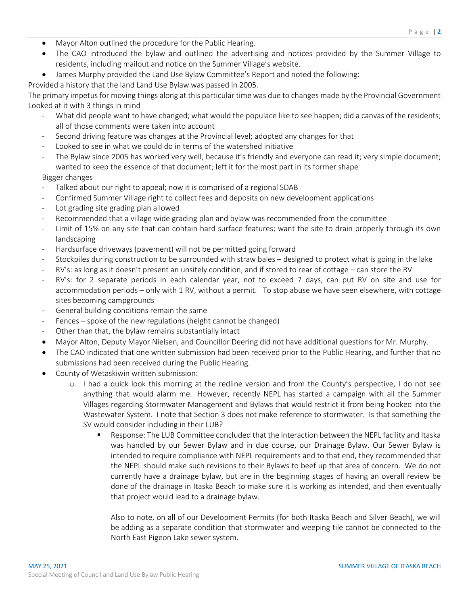- Mayor Alton outlined the procedure for the Public Hearing.
- The CAO introduced the bylaw and outlined the advertising and notices provided by the Summer Village to residents, including mailout and notice on the Summer Village's website.
- James Murphy provided the Land Use Bylaw Committee's Report and noted the following:

Provided a history that the land Land Use Bylaw was passed in 2005.

The primary impetus for moving things along at this particular time was due to changes made by the Provincial Government Looked at it with 3 things in mind

- What did people want to have changed; what would the populace like to see happen; did a canvas of the residents; all of those comments were taken into account
- Second driving feature was changes at the Provincial level; adopted any changes for that
- Looked to see in what we could do in terms of the watershed initiative
- The Bylaw since 2005 has worked very well, because it's friendly and everyone can read it; very simple document; wanted to keep the essence of that document; left it for the most part in its former shape

## Bigger changes

- Talked about our right to appeal; now it is comprised of a regional SDAB
- Confirmed Summer Village right to collect fees and deposits on new development applications
- Lot grading site grading plan allowed
- Recommended that a village wide grading plan and bylaw was recommended from the committee
- Limit of 15% on any site that can contain hard surface features; want the site to drain properly through its own landscaping
- Hardsurface driveways (pavement) will not be permitted going forward
- Stockpiles during construction to be surrounded with straw bales designed to protect what is going in the lake
- RV's: as long as it doesn't present an unsitely condition, and if stored to rear of cottage can store the RV
- RV's: for 2 separate periods in each calendar year, not to exceed 7 days, can put RV on site and use for accommodation periods – only with 1 RV, without a permit. To stop abuse we have seen elsewhere, with cottage sites becoming campgrounds
- General building conditions remain the same
- Fences spoke of the new regulations (height cannot be changed)
- Other than that, the bylaw remains substantially intact
- Mayor Alton, Deputy Mayor Nielsen, and Councillor Deering did not have additional questions for Mr. Murphy.
- The CAO indicated that one written submission had been received prior to the Public Hearing, and further that no submissions had been received during the Public Hearing.
- County of Wetaskiwin written submission:
	- o I had a quick look this morning at the redline version and from the County's perspective, I do not see anything that would alarm me. However, recently NEPL has started a campaign with all the Summer Villages regarding Stormwater Management and Bylaws that would restrict it from being hooked into the Wastewater System. I note that Section 3 does not make reference to stormwater. Is that something the SV would consider including in their LUB?
		- Response: The LUB Committee concluded that the interaction between the NEPL facility and Itaska was handled by our Sewer Bylaw and in due course, our Drainage Bylaw. Our Sewer Bylaw is intended to require compliance with NEPL requirements and to that end, they recommended that the NEPL should make such revisions to their Bylaws to beef up that area of concern. We do not currently have a drainage bylaw, but are in the beginning stages of having an overall review be done of the drainage in Itaska Beach to make sure it is working as intended, and then eventually that project would lead to a drainage bylaw.

Also to note, on all of our Development Permits (for both Itaska Beach and Silver Beach), we will be adding as a separate condition that stormwater and weeping tile cannot be connected to the North East Pigeon Lake sewer system.